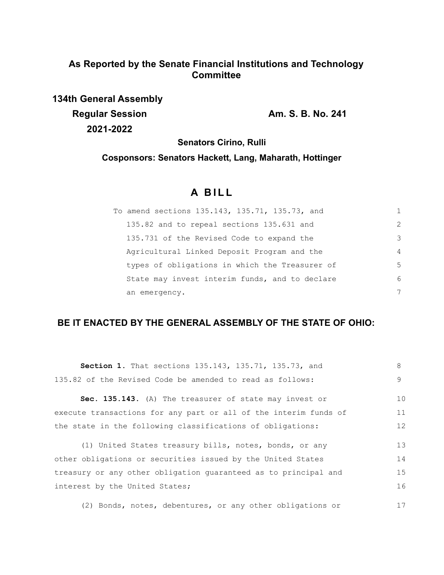# **As Reported by the Senate Financial Institutions and Technology Committee**

**134th General Assembly Regular Session Am. S. B. No. 241 2021-2022**

**Senators Cirino, Rulli**

**Cosponsors: Senators Hackett, Lang, Maharath, Hottinger**

# **A B I L L**

| To amend sections 135.143, 135.71, 135.73, and |                |
|------------------------------------------------|----------------|
| 135.82 and to repeal sections 135.631 and      | $\mathcal{L}$  |
| 135.731 of the Revised Code to expand the      | 3              |
| Agricultural Linked Deposit Program and the    | $\overline{4}$ |
| types of obligations in which the Treasurer of | 5              |
| State may invest interim funds, and to declare | 6              |
| an emergency.                                  | 7              |

# **BE IT ENACTED BY THE GENERAL ASSEMBLY OF THE STATE OF OHIO:**

| Section 1. That sections 135.143, 135.71, 135.73, and            | 8                 |
|------------------------------------------------------------------|-------------------|
| 135.82 of the Revised Code be amended to read as follows:        | 9                 |
| Sec. 135.143. (A) The treasurer of state may invest or           | 10                |
| execute transactions for any part or all of the interim funds of | 11                |
| the state in the following classifications of obligations:       | $12 \overline{ }$ |
|                                                                  |                   |
| (1) United States treasury bills, notes, bonds, or any           | 13                |
| other obligations or securities issued by the United States      | 14                |
| treasury or any other obligation quaranteed as to principal and  | 15                |
| interest by the United States;                                   | 16                |
|                                                                  |                   |
| (2) Bonds, notes, debentures, or any other obligations or        | 17                |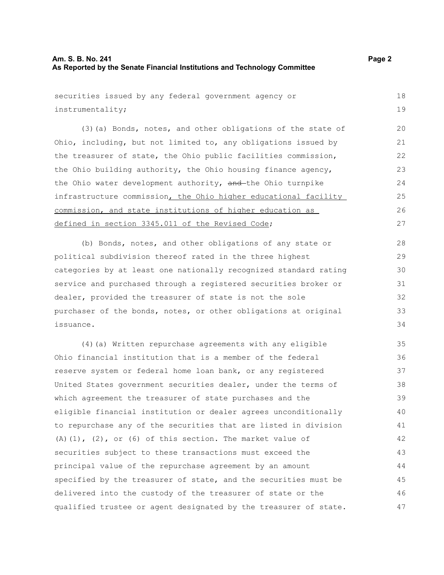## **Am. S. B. No. 241 Page 2 As Reported by the Senate Financial Institutions and Technology Committee**

securities issued by any federal government agency or instrumentality; (3)(a) Bonds, notes, and other obligations of the state of Ohio, including, but not limited to, any obligations issued by the treasurer of state, the Ohio public facilities commission, the Ohio building authority, the Ohio housing finance agency, the Ohio water development authority, and the Ohio turnpike infrastructure commission, the Ohio higher educational facility commission, and state institutions of higher education as defined in section 3345.011 of the Revised Code; (b) Bonds, notes, and other obligations of any state or political subdivision thereof rated in the three highest categories by at least one nationally recognized standard rating service and purchased through a registered securities broker or dealer, provided the treasurer of state is not the sole purchaser of the bonds, notes, or other obligations at original issuance. (4)(a) Written repurchase agreements with any eligible Ohio financial institution that is a member of the federal reserve system or federal home loan bank, or any registered United States government securities dealer, under the terms of which agreement the treasurer of state purchases and the eligible financial institution or dealer agrees unconditionally to repurchase any of the securities that are listed in division 18 19 20 21 22 23  $24$ 25 26 27 28 29 30 31 32 33 34 35 36 37 38 39 40 41

(A)(1), (2), or (6) of this section. The market value of securities subject to these transactions must exceed the principal value of the repurchase agreement by an amount specified by the treasurer of state, and the securities must be delivered into the custody of the treasurer of state or the qualified trustee or agent designated by the treasurer of state. 42 43 44 45 46 47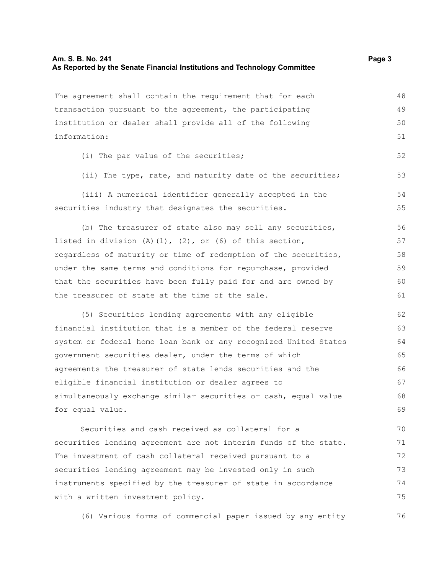### **Am. S. B. No. 241 Page 3 As Reported by the Senate Financial Institutions and Technology Committee**

The agreement shall contain the requirement that for each transaction pursuant to the agreement, the participating institution or dealer shall provide all of the following information: (i) The par value of the securities; (ii) The type, rate, and maturity date of the securities; (iii) A numerical identifier generally accepted in the securities industry that designates the securities. (b) The treasurer of state also may sell any securities, listed in division (A)(1), (2), or (6) of this section, regardless of maturity or time of redemption of the securities, under the same terms and conditions for repurchase, provided that the securities have been fully paid for and are owned by the treasurer of state at the time of the sale. (5) Securities lending agreements with any eligible financial institution that is a member of the federal reserve system or federal home loan bank or any recognized United States government securities dealer, under the terms of which agreements the treasurer of state lends securities and the eligible financial institution or dealer agrees to simultaneously exchange similar securities or cash, equal value for equal value. Securities and cash received as collateral for a securities lending agreement are not interim funds of the state. The investment of cash collateral received pursuant to a securities lending agreement may be invested only in such 48 49 50 51 52 53 54 55 56 57 58 59 60 61 62 63 64 65 66 67 68 69 70 71 72 73

(6) Various forms of commercial paper issued by any entity 76

instruments specified by the treasurer of state in accordance

with a written investment policy.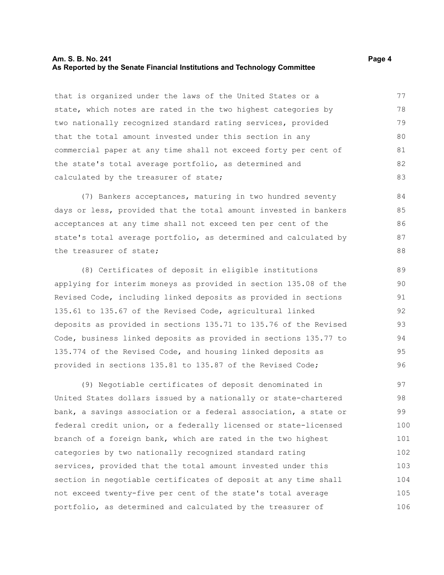### **Am. S. B. No. 241 Page 4 As Reported by the Senate Financial Institutions and Technology Committee**

that is organized under the laws of the United States or a state, which notes are rated in the two highest categories by two nationally recognized standard rating services, provided that the total amount invested under this section in any commercial paper at any time shall not exceed forty per cent of the state's total average portfolio, as determined and calculated by the treasurer of state; 77 78 79 80 81 82 83

(7) Bankers acceptances, maturing in two hundred seventy days or less, provided that the total amount invested in bankers acceptances at any time shall not exceed ten per cent of the state's total average portfolio, as determined and calculated by the treasurer of state;

(8) Certificates of deposit in eligible institutions applying for interim moneys as provided in section 135.08 of the Revised Code, including linked deposits as provided in sections 135.61 to 135.67 of the Revised Code, agricultural linked deposits as provided in sections 135.71 to 135.76 of the Revised Code, business linked deposits as provided in sections 135.77 to 135.774 of the Revised Code, and housing linked deposits as provided in sections 135.81 to 135.87 of the Revised Code;

(9) Negotiable certificates of deposit denominated in United States dollars issued by a nationally or state-chartered bank, a savings association or a federal association, a state or federal credit union, or a federally licensed or state-licensed branch of a foreign bank, which are rated in the two highest categories by two nationally recognized standard rating services, provided that the total amount invested under this section in negotiable certificates of deposit at any time shall not exceed twenty-five per cent of the state's total average portfolio, as determined and calculated by the treasurer of 97 98 99 100 101 102 103 104 105 106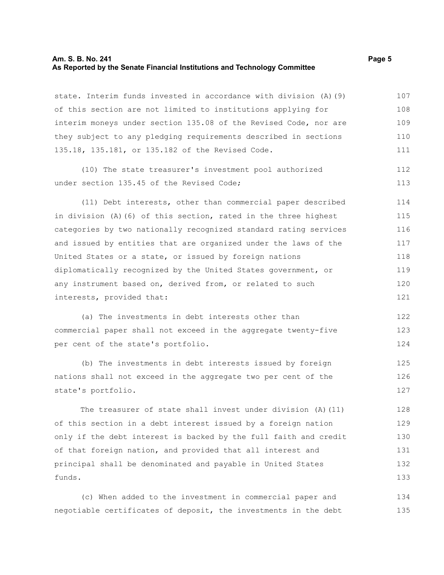### **Am. S. B. No. 241 Page 5 As Reported by the Senate Financial Institutions and Technology Committee**

state. Interim funds invested in accordance with division (A)(9) of this section are not limited to institutions applying for interim moneys under section 135.08 of the Revised Code, nor are they subject to any pledging requirements described in sections 135.18, 135.181, or 135.182 of the Revised Code. 107 108 109 110 111

(10) The state treasurer's investment pool authorized under section 135.45 of the Revised Code; 112 113

(11) Debt interests, other than commercial paper described in division (A)(6) of this section, rated in the three highest categories by two nationally recognized standard rating services and issued by entities that are organized under the laws of the United States or a state, or issued by foreign nations diplomatically recognized by the United States government, or any instrument based on, derived from, or related to such interests, provided that: 114 115 116 117 118 119 120 121

(a) The investments in debt interests other than commercial paper shall not exceed in the aggregate twenty-five per cent of the state's portfolio. 122 123 124

(b) The investments in debt interests issued by foreign nations shall not exceed in the aggregate two per cent of the state's portfolio. 125 126 127

The treasurer of state shall invest under division (A)(11) of this section in a debt interest issued by a foreign nation only if the debt interest is backed by the full faith and credit of that foreign nation, and provided that all interest and principal shall be denominated and payable in United States funds. 128 129 130 131 132 133

(c) When added to the investment in commercial paper and negotiable certificates of deposit, the investments in the debt 134 135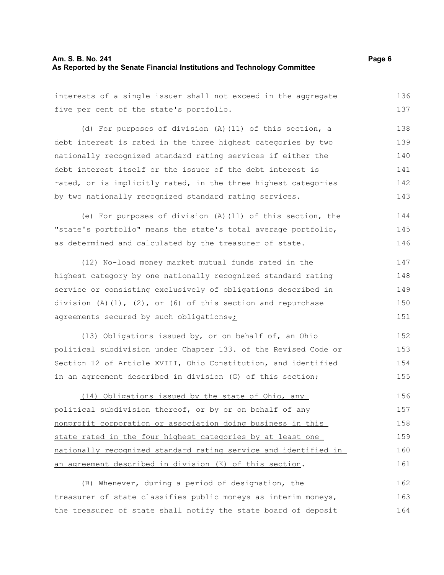# **Am. S. B. No. 241** Page 6 **As Reported by the Senate Financial Institutions and Technology Committee**

| interests of a single issuer shall not exceed in the aggregate       | 136 |
|----------------------------------------------------------------------|-----|
| five per cent of the state's portfolio.                              | 137 |
| (d) For purposes of division (A) (11) of this section, a             | 138 |
| debt interest is rated in the three highest categories by two        | 139 |
| nationally recognized standard rating services if either the         | 140 |
| debt interest itself or the issuer of the debt interest is           | 141 |
| rated, or is implicitly rated, in the three highest categories       | 142 |
| by two nationally recognized standard rating services.               | 143 |
| (e) For purposes of division (A) (11) of this section, the           | 144 |
| "state's portfolio" means the state's total average portfolio,       | 145 |
| as determined and calculated by the treasurer of state.              | 146 |
| (12) No-load money market mutual funds rated in the                  | 147 |
| highest category by one nationally recognized standard rating        |     |
| service or consisting exclusively of obligations described in        | 149 |
| division $(A) (1)$ , $(2)$ , or $(6)$ of this section and repurchase | 150 |
| agreements secured by such obligations-:                             | 151 |
| (13) Obligations issued by, or on behalf of, an Ohio                 | 152 |
| political subdivision under Chapter 133. of the Revised Code or      | 153 |
| Section 12 of Article XVIII, Ohio Constitution, and identified       | 154 |
| in an agreement described in division (G) of this section;           | 155 |
| (14) Obligations issued by the state of Ohio, any                    | 156 |
| political subdivision thereof, or by or on behalf of any             | 157 |
| nonprofit corporation or association doing business in this          | 158 |
| state rated in the four highest categories by at least one           | 159 |
| nationally recognized standard rating service and identified in      | 160 |
| an agreement described in division (K) of this section.              | 161 |
| (B) Whenever, during a period of designation, the                    | 162 |
| treasurer of state classifies public moneys as interim moneys,       | 163 |
| the treasurer of state shall notify the state board of deposit       | 164 |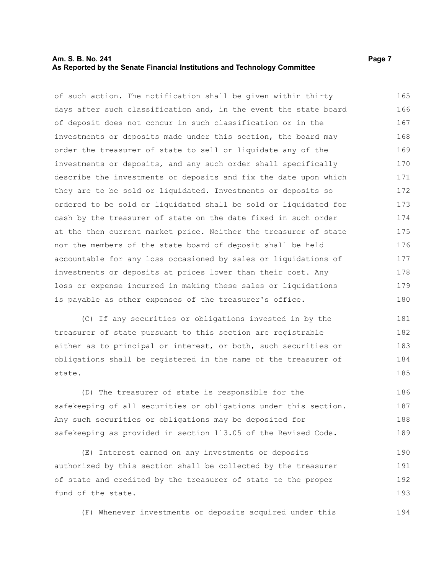### **Am. S. B. No. 241 Page 7 Page 7 Page 7 Page 7 Page 7 Page 7 Page 7 Page 7 Page 7 Page 7 Page 7 As Reported by the Senate Financial Institutions and Technology Committee**

of such action. The notification shall be given within thirty days after such classification and, in the event the state board of deposit does not concur in such classification or in the investments or deposits made under this section, the board may order the treasurer of state to sell or liquidate any of the investments or deposits, and any such order shall specifically describe the investments or deposits and fix the date upon which they are to be sold or liquidated. Investments or deposits so ordered to be sold or liquidated shall be sold or liquidated for cash by the treasurer of state on the date fixed in such order at the then current market price. Neither the treasurer of state nor the members of the state board of deposit shall be held accountable for any loss occasioned by sales or liquidations of investments or deposits at prices lower than their cost. Any loss or expense incurred in making these sales or liquidations is payable as other expenses of the treasurer's office. 165 166 167 168 169 170 171 172 173 174 175 176 177 178 179 180

(C) If any securities or obligations invested in by the treasurer of state pursuant to this section are registrable either as to principal or interest, or both, such securities or obligations shall be registered in the name of the treasurer of state. 181 182 183 184 185

(D) The treasurer of state is responsible for the safekeeping of all securities or obligations under this section. Any such securities or obligations may be deposited for safekeeping as provided in section 113.05 of the Revised Code. 186 187 188 189

(E) Interest earned on any investments or deposits authorized by this section shall be collected by the treasurer of state and credited by the treasurer of state to the proper fund of the state. 190 191 192 193

(F) Whenever investments or deposits acquired under this 194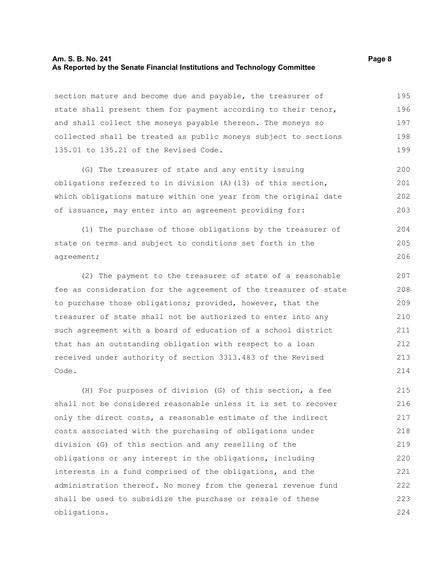### **Am. S. B. No. 241 Page 8 As Reported by the Senate Financial Institutions and Technology Committee**

section mature and become due and payable, the treasurer of state shall present them for payment according to their tenor, and shall collect the moneys payable thereon. The moneys so collected shall be treated as public moneys subject to sections 135.01 to 135.21 of the Revised Code. 195 196 197 198 199

(G) The treasurer of state and any entity issuing obligations referred to in division (A)(13) of this section, which obligations mature within one year from the original date of issuance, may enter into an agreement providing for: 200 201 202 203

(1) The purchase of those obligations by the treasurer of state on terms and subject to conditions set forth in the agreement; 204 205 206

(2) The payment to the treasurer of state of a reasonable fee as consideration for the agreement of the treasurer of state to purchase those obligations; provided, however, that the treasurer of state shall not be authorized to enter into any such agreement with a board of education of a school district that has an outstanding obligation with respect to a loan received under authority of section 3313.483 of the Revised Code.

(H) For purposes of division (G) of this section, a fee shall not be considered reasonable unless it is set to recover only the direct costs, a reasonable estimate of the indirect costs associated with the purchasing of obligations under division (G) of this section and any reselling of the obligations or any interest in the obligations, including interests in a fund comprised of the obligations, and the administration thereof. No money from the general revenue fund shall be used to subsidize the purchase or resale of these obligations. 215 216 217 218 219 220 221 222 223 224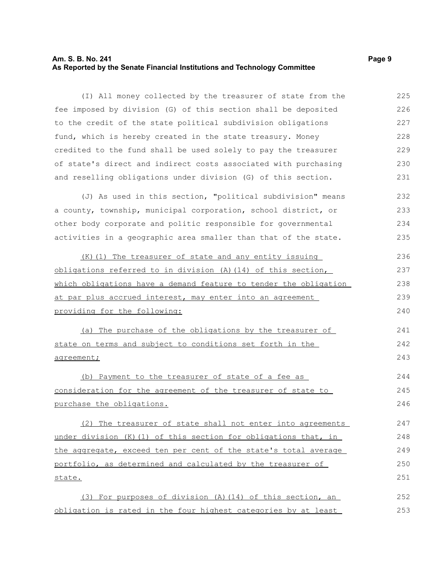### **Am. S. B. No. 241 Page 9 As Reported by the Senate Financial Institutions and Technology Committee**

(I) All money collected by the treasurer of state from the fee imposed by division (G) of this section shall be deposited to the credit of the state political subdivision obligations fund, which is hereby created in the state treasury. Money credited to the fund shall be used solely to pay the treasurer of state's direct and indirect costs associated with purchasing and reselling obligations under division (G) of this section. 225 226 227 228 229 230 231

(J) As used in this section, "political subdivision" means a county, township, municipal corporation, school district, or other body corporate and politic responsible for governmental activities in a geographic area smaller than that of the state. 232 233 234 235

(K)(1) The treasurer of state and any entity issuing obligations referred to in division (A)(14) of this section, which obligations have a demand feature to tender the obligation at par plus accrued interest, may enter into an agreement providing for the following: 236 237 238 239 240

(a) The purchase of the obligations by the treasurer of state on terms and subject to conditions set forth in the agreement; 241 242 243

(b) Payment to the treasurer of state of a fee as consideration for the agreement of the treasurer of state to purchase the obligations. 244 245 246

(2) The treasurer of state shall not enter into agreements under division (K)(1) of this section for obligations that, in the aggregate, exceed ten per cent of the state's total average portfolio, as determined and calculated by the treasurer of state. 247 248 249 250 251

(3) For purposes of division (A)(14) of this section, an obligation is rated in the four highest categories by at least 252 253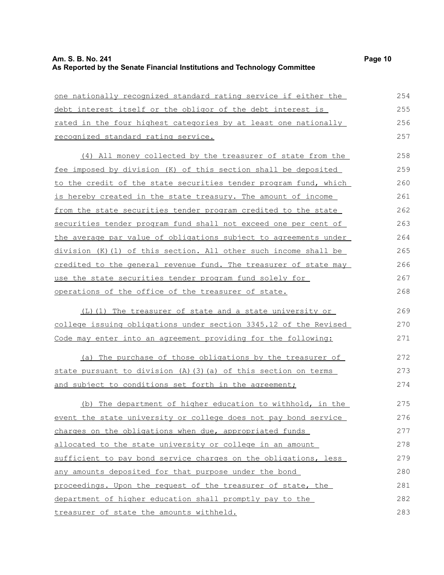| one nationally recognized standard rating service if either the  | 254 |
|------------------------------------------------------------------|-----|
| debt interest itself or the obligor of the debt interest is      | 255 |
| rated in the four highest categories by at least one nationally  | 256 |
| recognized standard rating service.                              |     |
| (4) All money collected by the treasurer of state from the       | 258 |
| fee imposed by division (K) of this section shall be deposited   | 259 |
| to the credit of the state securities tender program fund, which | 260 |
| is hereby created in the state treasury. The amount of income    | 261 |
| from the state securities tender program credited to the state   | 262 |
| securities tender program fund shall not exceed one per cent of  | 263 |
| the average par value of obligations subject to agreements under | 264 |
| division (K) (1) of this section. All other such income shall be | 265 |
| credited to the general revenue fund. The treasurer of state may | 266 |
| use the state securities tender program fund solely for          | 267 |
| operations of the office of the treasurer of state.              | 268 |
| (L)(1) The treasurer of state and a state university or          | 269 |
| college issuing obligations under section 3345.12 of the Revised | 270 |
| Code may enter into an agreement providing for the following:    | 271 |
| (a) The purchase of those obligations by the treasurer of        | 272 |
| state pursuant to division (A) (3) (a) of this section on terms  | 273 |
| and subject to conditions set forth in the agreement;            | 274 |
| (b) The department of higher education to withhold, in the       | 275 |
| event the state university or college does not pay bond service  | 276 |
| charges on the obligations when due, appropriated funds          | 277 |
| allocated to the state university or college in an amount        | 278 |
| sufficient to pay bond service charges on the obligations, less  | 279 |
| any amounts deposited for that purpose under the bond            | 280 |
| proceedings. Upon the request of the treasurer of state, the     | 281 |
| department of higher education shall promptly pay to the         | 282 |
| treasurer of state the amounts withheld.                         | 283 |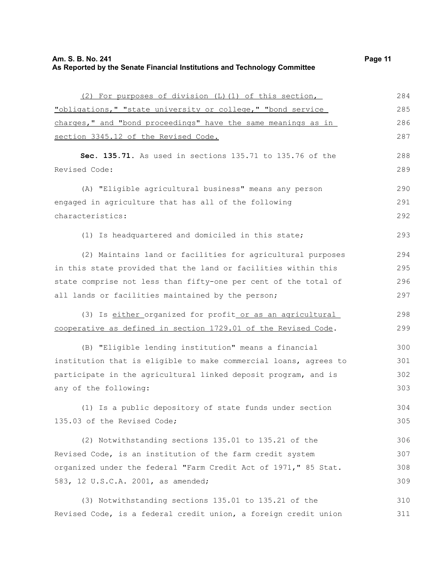(2) For purposes of division (L)(1) of this section, "obligations," "state university or college," "bond service charges," and "bond proceedings" have the same meanings as in section 3345.12 of the Revised Code. **Sec. 135.71.** As used in sections 135.71 to 135.76 of the Revised Code: (A) "Eligible agricultural business" means any person engaged in agriculture that has all of the following characteristics: (1) Is headquartered and domiciled in this state; (2) Maintains land or facilities for agricultural purposes in this state provided that the land or facilities within this state comprise not less than fifty-one per cent of the total of all lands or facilities maintained by the person; (3) Is either organized for profit or as an agricultural cooperative as defined in section 1729.01 of the Revised Code. (B) "Eligible lending institution" means a financial institution that is eligible to make commercial loans, agrees to participate in the agricultural linked deposit program, and is any of the following: (1) Is a public depository of state funds under section 135.03 of the Revised Code; (2) Notwithstanding sections 135.01 to 135.21 of the Revised Code, is an institution of the farm credit system organized under the federal "Farm Credit Act of 1971," 85 Stat. 583, 12 U.S.C.A. 2001, as amended; (3) Notwithstanding sections 135.01 to 135.21 of the 284 285 286 287 288 289 290 291 292 293 294 295 296 297 298 299 300 301 302 303 304 305 306 307 308 309 310

Revised Code, is a federal credit union, a foreign credit union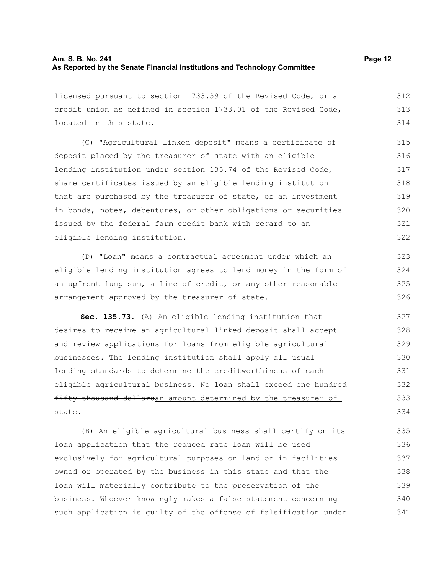| licensed pursuant to section 1733.39 of the Revised Code, or a  | 312 |
|-----------------------------------------------------------------|-----|
| credit union as defined in section 1733.01 of the Revised Code, |     |
| located in this state.                                          |     |
| (C) "Agricultural linked deposit" means a certificate of        | 315 |
| deposit placed by the treasurer of state with an eligible       | 316 |
| lending institution under section 135.74 of the Revised Code,   | 317 |
| share certificates issued by an eligible lending institution    | 318 |
| that are purchased by the treasurer of state, or an investment  | 319 |
| in bonds, notes, debentures, or other obligations or securities | 320 |
| issued by the federal farm credit bank with regard to an        | 321 |
| eligible lending institution.                                   |     |
| (D) "Loan" means a contractual agreement under which an         | 323 |

(D) "Loan" means a contractual agreement under which an eligible lending institution agrees to lend money in the form of an upfront lump sum, a line of credit, or any other reasonable arrangement approved by the treasurer of state. 324 325 326

**Sec. 135.73.** (A) An eligible lending institution that desires to receive an agricultural linked deposit shall accept and review applications for loans from eligible agricultural businesses. The lending institution shall apply all usual lending standards to determine the creditworthiness of each eligible agricultural business. No loan shall exceed one hundredfifty thousand dollarsan amount determined by the treasurer of state. 327 328 329 330 331 332 333 334

(B) An eligible agricultural business shall certify on its loan application that the reduced rate loan will be used exclusively for agricultural purposes on land or in facilities owned or operated by the business in this state and that the loan will materially contribute to the preservation of the business. Whoever knowingly makes a false statement concerning such application is guilty of the offense of falsification under 335 336 337 338 339 340 341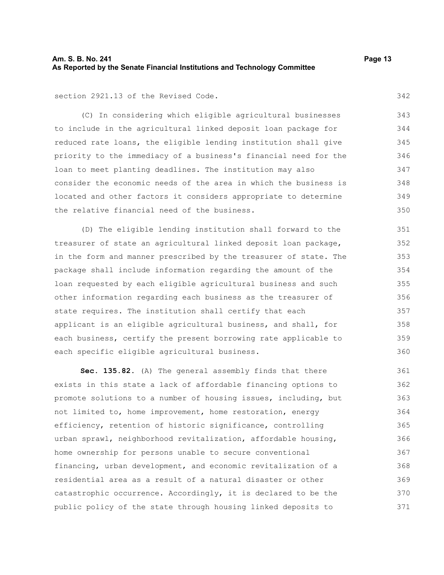## **Am. S. B. No. 241 Page 13 As Reported by the Senate Financial Institutions and Technology Committee**

section 2921.13 of the Revised Code.

(C) In considering which eligible agricultural businesses to include in the agricultural linked deposit loan package for reduced rate loans, the eligible lending institution shall give priority to the immediacy of a business's financial need for the loan to meet planting deadlines. The institution may also consider the economic needs of the area in which the business is located and other factors it considers appropriate to determine the relative financial need of the business. 344 345 346 349 350

(D) The eligible lending institution shall forward to the treasurer of state an agricultural linked deposit loan package, in the form and manner prescribed by the treasurer of state. The package shall include information regarding the amount of the loan requested by each eligible agricultural business and such other information regarding each business as the treasurer of state requires. The institution shall certify that each applicant is an eligible agricultural business, and shall, for each business, certify the present borrowing rate applicable to each specific eligible agricultural business. 351 352 353 354 355 356 357 358 359 360

**Sec. 135.82.** (A) The general assembly finds that there exists in this state a lack of affordable financing options to promote solutions to a number of housing issues, including, but not limited to, home improvement, home restoration, energy efficiency, retention of historic significance, controlling urban sprawl, neighborhood revitalization, affordable housing, home ownership for persons unable to secure conventional financing, urban development, and economic revitalization of a residential area as a result of a natural disaster or other catastrophic occurrence. Accordingly, it is declared to be the public policy of the state through housing linked deposits to 361 362 363 364 365 366 367 368 369 370 371

342

343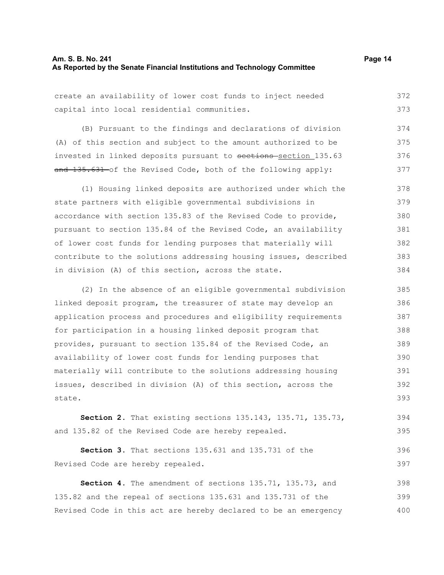### **Am. S. B. No. 241 Page 14 As Reported by the Senate Financial Institutions and Technology Committee**

create an availability of lower cost funds to inject needed capital into local residential communities. 372 373

(B) Pursuant to the findings and declarations of division (A) of this section and subject to the amount authorized to be invested in linked deposits pursuant to sections-section 135.63 and 135.631 of the Revised Code, both of the following apply: 374 375 376 377

(1) Housing linked deposits are authorized under which the state partners with eligible governmental subdivisions in accordance with section 135.83 of the Revised Code to provide, pursuant to section 135.84 of the Revised Code, an availability of lower cost funds for lending purposes that materially will contribute to the solutions addressing housing issues, described in division (A) of this section, across the state. 378 379 380 381 382 383 384

(2) In the absence of an eligible governmental subdivision linked deposit program, the treasurer of state may develop an application process and procedures and eligibility requirements for participation in a housing linked deposit program that provides, pursuant to section 135.84 of the Revised Code, an availability of lower cost funds for lending purposes that materially will contribute to the solutions addressing housing issues, described in division (A) of this section, across the state. 385 386 387 388 389 390 391 392 393

**Section 2.** That existing sections 135.143, 135.71, 135.73, and 135.82 of the Revised Code are hereby repealed. 394 395

**Section 3.** That sections 135.631 and 135.731 of the Revised Code are hereby repealed. 396 397

**Section 4.** The amendment of sections 135.71, 135.73, and 135.82 and the repeal of sections 135.631 and 135.731 of the Revised Code in this act are hereby declared to be an emergency 398 399 400